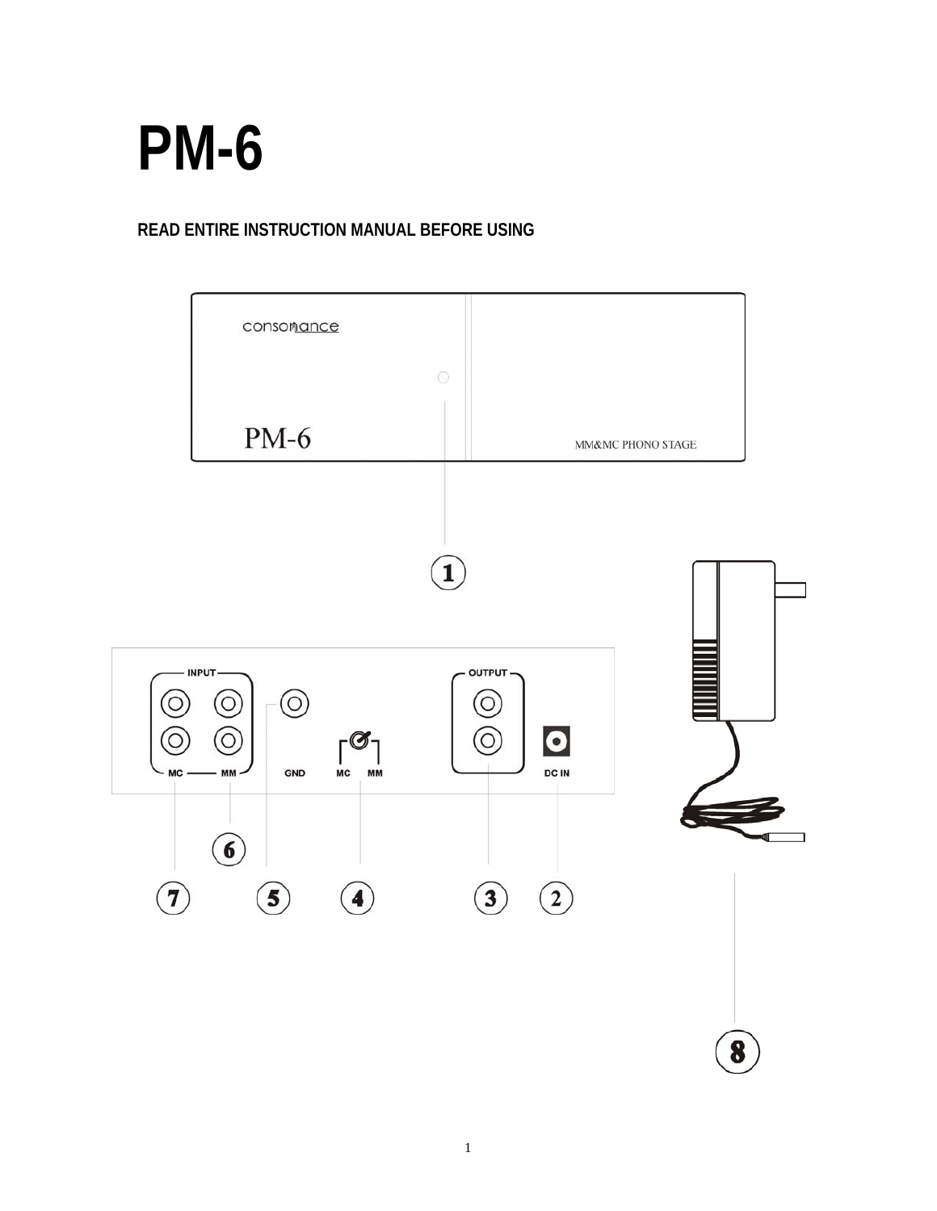

# **READ ENTIRE INSTRUCTION MANUAL BEFORE USING**

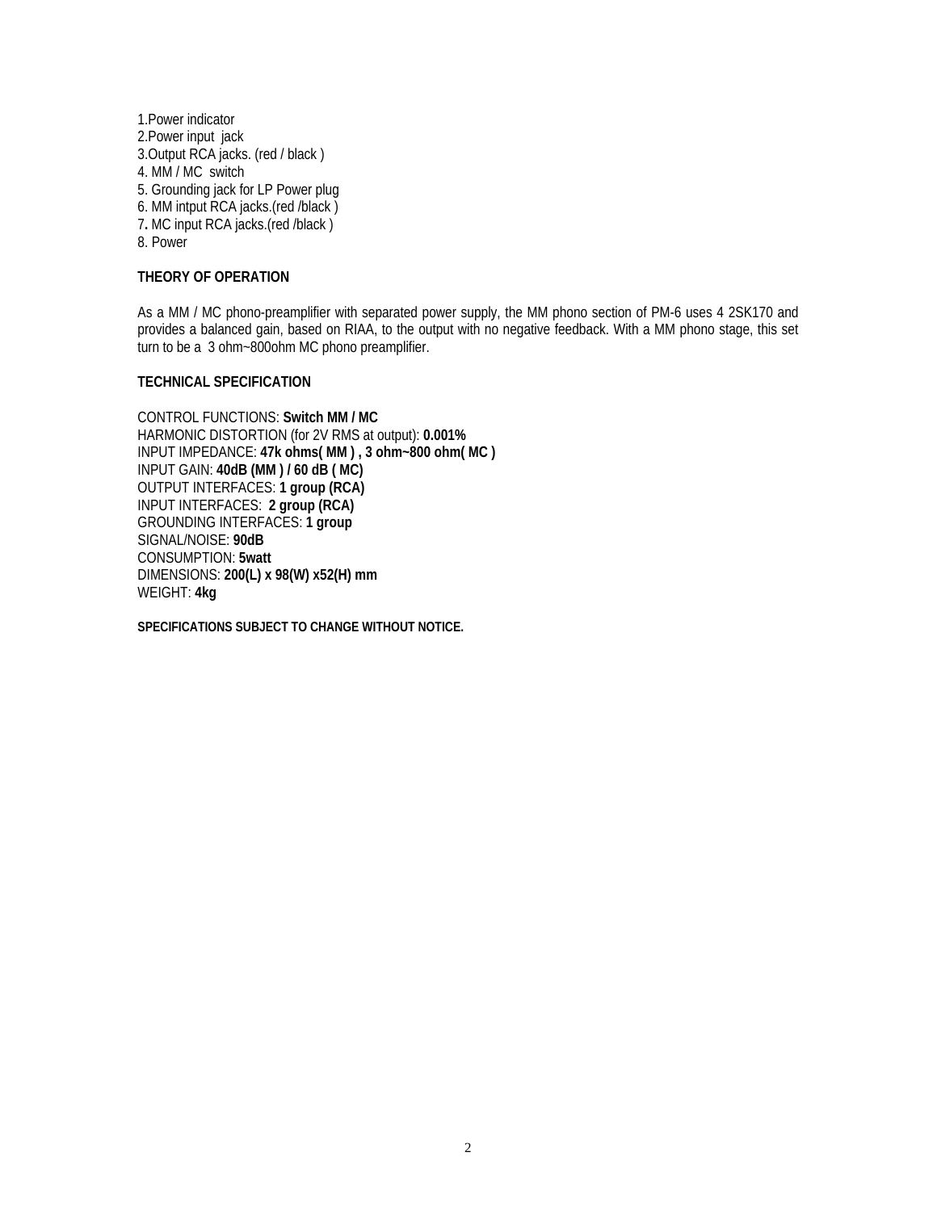1.Power indicator 2.Power input jack 3.Output RCA jacks. (red / black ) 4. MM / MC switch 5. Grounding jack for LP Power plug 6. MM intput RCA jacks.(red /black ) 7**.** MC input RCA jacks.(red /black ) 8. Power

## **THEORY OF OPERATION**

As a MM / MC phono-preamplifier with separated power supply, the MM phono section of PM-6 uses 4 2SK170 and provides a balanced gain, based on RIAA, to the output with no negative feedback. With a MM phono stage, this set turn to be a 3 ohm~800ohm MC phono preamplifier.

### **TECHNICAL SPECIFICATION**

CONTROL FUNCTIONS: **Switch MM / MC**  HARMONIC DISTORTION (for 2V RMS at output): **0.001%**  INPUT IMPEDANCE: **47k ohms( MM ) , 3 ohm~800 ohm( MC )**  INPUT GAIN: **40dB (MM ) / 60 dB ( MC)**  OUTPUT INTERFACES: **1 group (RCA)**  INPUT INTERFACES: **2 group (RCA)**  GROUNDING INTERFACES: **1 group** SIGNAL/NOISE: **90dB**  CONSUMPTION: **5watt**  DIMENSIONS: **200(L) x 98(W) x52(H) mm**  WEIGHT: **4kg** 

**SPECIFICATIONS SUBJECT TO CHANGE WITHOUT NOTICE.**